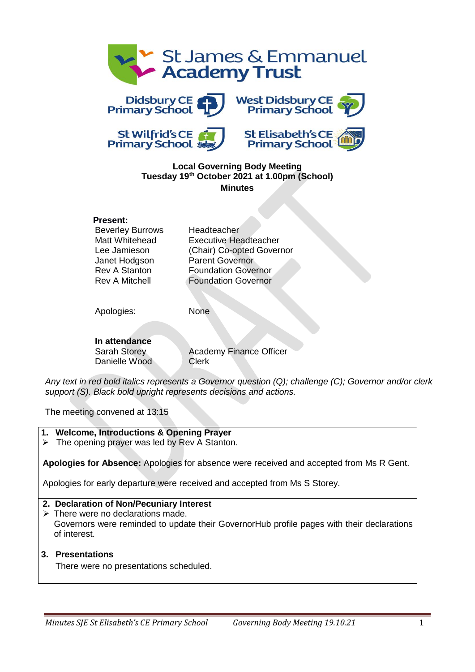









#### **Local Governing Body Meeting Tuesday 19th October 2021 at 1.00pm (School) Minutes**

#### **Present:**

| Beverley Burrows     |
|----------------------|
| Matt Whitehead       |
| Lee Jamieson         |
| Janet Hodgson        |
| <b>Rev A Stanton</b> |
| Rev A Mitchell       |

Headteacher **Executive Headteacher** (Chair) Co-opted Governor Parent Governor **Foundation Governor Foundation Governor** 

Apologies: None

**In attendance** Danielle Wood Clerk

Sarah Storey **Academy Finance Officer** 

*Any text in red bold italics represents a Governor question (Q); challenge (C); Governor and/or clerk support (S). Black bold upright represents decisions and actions.*

The meeting convened at 13:15

### **1. Welcome, Introductions & Opening Prayer**

 $\triangleright$  The opening prayer was led by Rev A Stanton.

**Apologies for Absence:** Apologies for absence were received and accepted from Ms R Gent.

Apologies for early departure were received and accepted from Ms S Storey.

### **2. Declaration of Non/Pecuniary Interest**

 $\triangleright$  There were no declarations made. Governors were reminded to update their GovernorHub profile pages with their declarations of interest.

### **3. Presentations**

There were no presentations scheduled.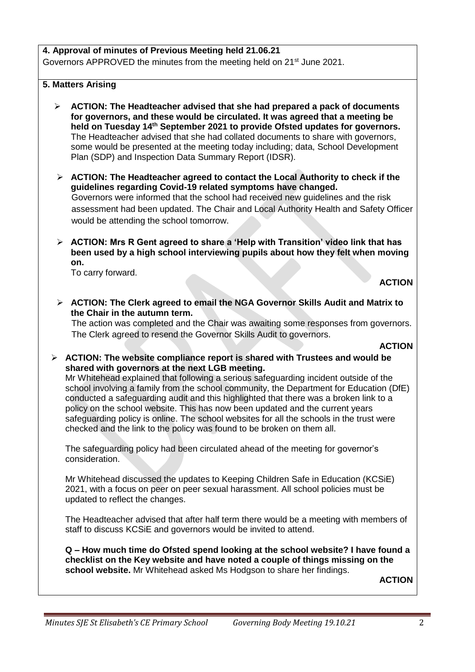### **4. Approval of minutes of Previous Meeting held 21.06.21**

Governors APPROVED the minutes from the meeting held on 21st June 2021.

#### **5. Matters Arising**

- ➢ **ACTION: The Headteacher advised that she had prepared a pack of documents for governors, and these would be circulated. It was agreed that a meeting be held on Tuesday 14th September 2021 to provide Ofsted updates for governors.** The Headteacher advised that she had collated documents to share with governors, some would be presented at the meeting today including; data, School Development Plan (SDP) and Inspection Data Summary Report (IDSR).
- ➢ **ACTION: The Headteacher agreed to contact the Local Authority to check if the guidelines regarding Covid-19 related symptoms have changed.** Governors were informed that the school had received new guidelines and the risk assessment had been updated. The Chair and Local Authority Health and Safety Officer would be attending the school tomorrow.
- ➢ **ACTION: Mrs R Gent agreed to share a 'Help with Transition' video link that has been used by a high school interviewing pupils about how they felt when moving on.**

To carry forward.

**ACTION**

➢ **ACTION: The Clerk agreed to email the NGA Governor Skills Audit and Matrix to the Chair in the autumn term.**

The action was completed and the Chair was awaiting some responses from governors. The Clerk agreed to resend the Governor Skills Audit to governors.

#### **ACTION**

➢ **ACTION: The website compliance report is shared with Trustees and would be shared with governors at the next LGB meeting.**

Mr Whitehead explained that following a serious safeguarding incident outside of the school involving a family from the school community, the Department for Education (DfE) conducted a safeguarding audit and this highlighted that there was a broken link to a policy on the school website. This has now been updated and the current years safeguarding policy is online. The school websites for all the schools in the trust were checked and the link to the policy was found to be broken on them all.

The safeguarding policy had been circulated ahead of the meeting for governor's consideration.

Mr Whitehead discussed the updates to Keeping Children Safe in Education (KCSiE) 2021, with a focus on peer on peer sexual harassment. All school policies must be updated to reflect the changes.

The Headteacher advised that after half term there would be a meeting with members of staff to discuss KCSiE and governors would be invited to attend.

**Q – How much time do Ofsted spend looking at the school website? I have found a checklist on the Key website and have noted a couple of things missing on the school website.** Mr Whitehead asked Ms Hodgson to share her findings.

**ACTION**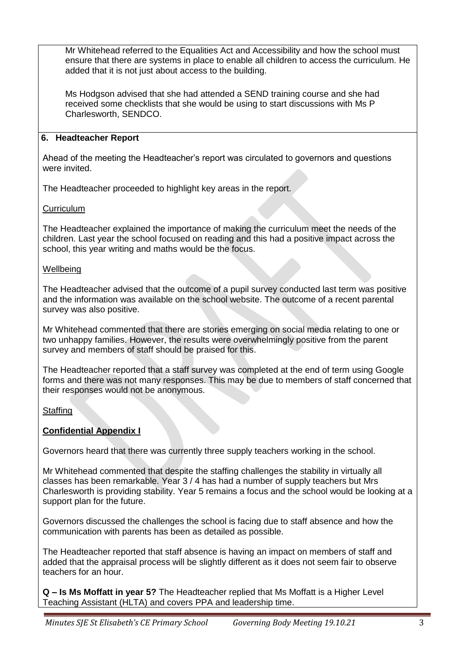Mr Whitehead referred to the Equalities Act and Accessibility and how the school must ensure that there are systems in place to enable all children to access the curriculum. He added that it is not just about access to the building.

Ms Hodgson advised that she had attended a SEND training course and she had received some checklists that she would be using to start discussions with Ms P Charlesworth, SENDCO.

## **6. Headteacher Report**

Ahead of the meeting the Headteacher's report was circulated to governors and questions were invited.

The Headteacher proceeded to highlight key areas in the report.

### **Curriculum**

The Headteacher explained the importance of making the curriculum meet the needs of the children. Last year the school focused on reading and this had a positive impact across the school, this year writing and maths would be the focus.

### **Wellbeing**

The Headteacher advised that the outcome of a pupil survey conducted last term was positive and the information was available on the school website. The outcome of a recent parental survey was also positive.

Mr Whitehead commented that there are stories emerging on social media relating to one or two unhappy families. However, the results were overwhelmingly positive from the parent survey and members of staff should be praised for this.

The Headteacher reported that a staff survey was completed at the end of term using Google forms and there was not many responses. This may be due to members of staff concerned that their responses would not be anonymous.

# **Staffing**

# **Confidential Appendix I**

Governors heard that there was currently three supply teachers working in the school.

Mr Whitehead commented that despite the staffing challenges the stability in virtually all classes has been remarkable. Year 3 / 4 has had a number of supply teachers but Mrs Charlesworth is providing stability. Year 5 remains a focus and the school would be looking at a support plan for the future.

Governors discussed the challenges the school is facing due to staff absence and how the communication with parents has been as detailed as possible.

The Headteacher reported that staff absence is having an impact on members of staff and added that the appraisal process will be slightly different as it does not seem fair to observe teachers for an hour.

**Q – Is Ms Moffatt in year 5?** The Headteacher replied that Ms Moffatt is a Higher Level Teaching Assistant (HLTA) and covers PPA and leadership time.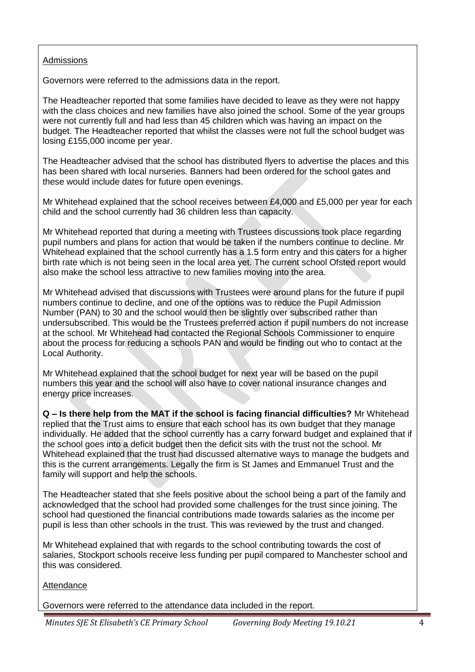#### Admissions

Governors were referred to the admissions data in the report.

The Headteacher reported that some families have decided to leave as they were not happy with the class choices and new families have also joined the school. Some of the year groups were not currently full and had less than 45 children which was having an impact on the budget. The Headteacher reported that whilst the classes were not full the school budget was losing £155,000 income per year.

The Headteacher advised that the school has distributed flyers to advertise the places and this has been shared with local nurseries. Banners had been ordered for the school gates and these would include dates for future open evenings.

Mr Whitehead explained that the school receives between £4,000 and £5,000 per year for each child and the school currently had 36 children less than capacity.

Mr Whitehead reported that during a meeting with Trustees discussions took place regarding pupil numbers and plans for action that would be taken if the numbers continue to decline. Mr Whitehead explained that the school currently has a 1.5 form entry and this caters for a higher birth rate which is not being seen in the local area yet. The current school Ofsted report would also make the school less attractive to new families moving into the area.

Mr Whitehead advised that discussions with Trustees were around plans for the future if pupil numbers continue to decline, and one of the options was to reduce the Pupil Admission Number (PAN) to 30 and the school would then be slightly over subscribed rather than undersubscribed. This would be the Trustees preferred action if pupil numbers do not increase at the school. Mr Whitehead had contacted the Regional Schools Commissioner to enquire about the process for reducing a schools PAN and would be finding out who to contact at the Local Authority.

Mr Whitehead explained that the school budget for next year will be based on the pupil numbers this year and the school will also have to cover national insurance changes and energy price increases.

**Q – Is there help from the MAT if the school is facing financial difficulties?** Mr Whitehead replied that the Trust aims to ensure that each school has its own budget that they manage individually. He added that the school currently has a carry forward budget and explained that if the school goes into a deficit budget then the deficit sits with the trust not the school. Mr Whitehead explained that the trust had discussed alternative ways to manage the budgets and this is the current arrangements. Legally the firm is St James and Emmanuel Trust and the family will support and help the schools.

The Headteacher stated that she feels positive about the school being a part of the family and acknowledged that the school had provided some challenges for the trust since joining. The school had questioned the financial contributions made towards salaries as the income per pupil is less than other schools in the trust. This was reviewed by the trust and changed.

Mr Whitehead explained that with regards to the school contributing towards the cost of salaries, Stockport schools receive less funding per pupil compared to Manchester school and this was considered.

#### **Attendance**

Governors were referred to the attendance data included in the report.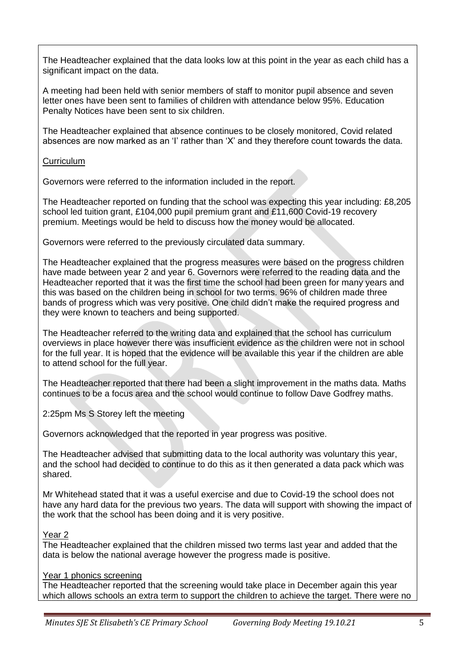The Headteacher explained that the data looks low at this point in the year as each child has a significant impact on the data.

A meeting had been held with senior members of staff to monitor pupil absence and seven letter ones have been sent to families of children with attendance below 95%. Education Penalty Notices have been sent to six children.

The Headteacher explained that absence continues to be closely monitored, Covid related absences are now marked as an 'I' rather than 'X' and they therefore count towards the data.

**Curriculum** 

Governors were referred to the information included in the report.

The Headteacher reported on funding that the school was expecting this year including: £8,205 school led tuition grant, £104,000 pupil premium grant and £11,600 Covid-19 recovery premium. Meetings would be held to discuss how the money would be allocated.

Governors were referred to the previously circulated data summary.

The Headteacher explained that the progress measures were based on the progress children have made between year 2 and year 6. Governors were referred to the reading data and the Headteacher reported that it was the first time the school had been green for many years and this was based on the children being in school for two terms. 96% of children made three bands of progress which was very positive. One child didn't make the required progress and they were known to teachers and being supported.

The Headteacher referred to the writing data and explained that the school has curriculum overviews in place however there was insufficient evidence as the children were not in school for the full year. It is hoped that the evidence will be available this year if the children are able to attend school for the full year.

The Headteacher reported that there had been a slight improvement in the maths data. Maths continues to be a focus area and the school would continue to follow Dave Godfrey maths.

2:25pm Ms S Storey left the meeting

Governors acknowledged that the reported in year progress was positive.

The Headteacher advised that submitting data to the local authority was voluntary this year, and the school had decided to continue to do this as it then generated a data pack which was shared.

Mr Whitehead stated that it was a useful exercise and due to Covid-19 the school does not have any hard data for the previous two years. The data will support with showing the impact of the work that the school has been doing and it is very positive.

# Year 2

The Headteacher explained that the children missed two terms last year and added that the data is below the national average however the progress made is positive.

# Year 1 phonics screening

The Headteacher reported that the screening would take place in December again this year which allows schools an extra term to support the children to achieve the target. There were no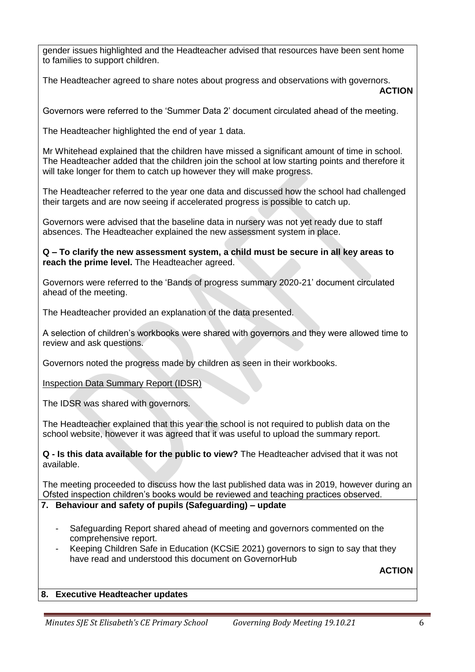gender issues highlighted and the Headteacher advised that resources have been sent home to families to support children.

The Headteacher agreed to share notes about progress and observations with governors. **ACTION**

Governors were referred to the 'Summer Data 2' document circulated ahead of the meeting.

The Headteacher highlighted the end of year 1 data.

Mr Whitehead explained that the children have missed a significant amount of time in school. The Headteacher added that the children join the school at low starting points and therefore it will take longer for them to catch up however they will make progress.

The Headteacher referred to the year one data and discussed how the school had challenged their targets and are now seeing if accelerated progress is possible to catch up.

Governors were advised that the baseline data in nursery was not yet ready due to staff absences. The Headteacher explained the new assessment system in place.

**Q – To clarify the new assessment system, a child must be secure in all key areas to reach the prime level.** The Headteacher agreed.

Governors were referred to the 'Bands of progress summary 2020-21' document circulated ahead of the meeting.

The Headteacher provided an explanation of the data presented.

A selection of children's workbooks were shared with governors and they were allowed time to review and ask questions.

Governors noted the progress made by children as seen in their workbooks.

Inspection Data Summary Report (IDSR)

The IDSR was shared with governors.

The Headteacher explained that this year the school is not required to publish data on the school website, however it was agreed that it was useful to upload the summary report.

**Q - Is this data available for the public to view?** The Headteacher advised that it was not available.

The meeting proceeded to discuss how the last published data was in 2019, however during an Ofsted inspection children's books would be reviewed and teaching practices observed.

#### **7. Behaviour and safety of pupils (Safeguarding) – update**

- Safeguarding Report shared ahead of meeting and governors commented on the comprehensive report.
- Keeping Children Safe in Education (KCSiE 2021) governors to sign to say that they have read and understood this document on GovernorHub

**ACTION**

#### **8. Executive Headteacher updates**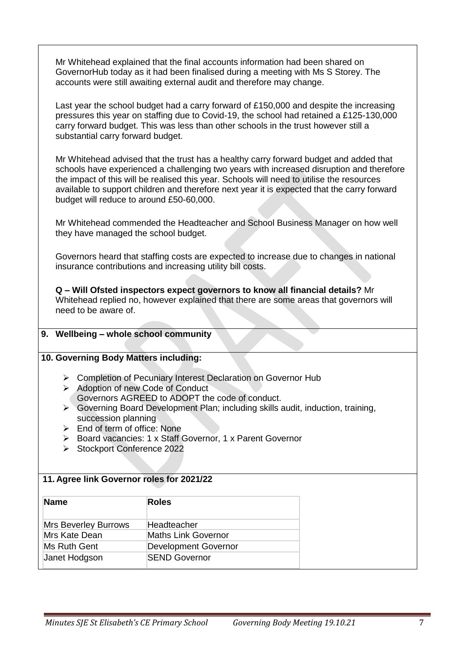Mr Whitehead explained that the final accounts information had been shared on GovernorHub today as it had been finalised during a meeting with Ms S Storey. The accounts were still awaiting external audit and therefore may change.

Last year the school budget had a carry forward of £150,000 and despite the increasing pressures this year on staffing due to Covid-19, the school had retained a £125-130,000 carry forward budget. This was less than other schools in the trust however still a substantial carry forward budget.

Mr Whitehead advised that the trust has a healthy carry forward budget and added that schools have experienced a challenging two years with increased disruption and therefore the impact of this will be realised this year. Schools will need to utilise the resources available to support children and therefore next year it is expected that the carry forward budget will reduce to around £50-60,000.

Mr Whitehead commended the Headteacher and School Business Manager on how well they have managed the school budget.

Governors heard that staffing costs are expected to increase due to changes in national insurance contributions and increasing utility bill costs.

**Q – Will Ofsted inspectors expect governors to know all financial details?** Mr Whitehead replied no, however explained that there are some areas that governors will need to be aware of.

#### **9. Wellbeing – whole school community**

#### **10. Governing Body Matters including:**

- ➢ Completion of Pecuniary Interest Declaration on Governor Hub
- ➢ Adoption of new Code of Conduct Governors AGREED to ADOPT the code of conduct.
- ➢ Governing Board Development Plan; including skills audit, induction, training, succession planning
- ➢ End of term of office: None
- ➢ Board vacancies: 1 x Staff Governor, 1 x Parent Governor
- ➢ Stockport Conference 2022

#### **11. Agree link Governor roles for 2021/22**

| Name                        | <b>Roles</b>                |
|-----------------------------|-----------------------------|
| <b>Mrs Beverley Burrows</b> | Headteacher                 |
| Mrs Kate Dean               | <b>Maths Link Governor</b>  |
| Ms Ruth Gent                | <b>Development Governor</b> |
| Janet Hodgson               | <b>SEND Governor</b>        |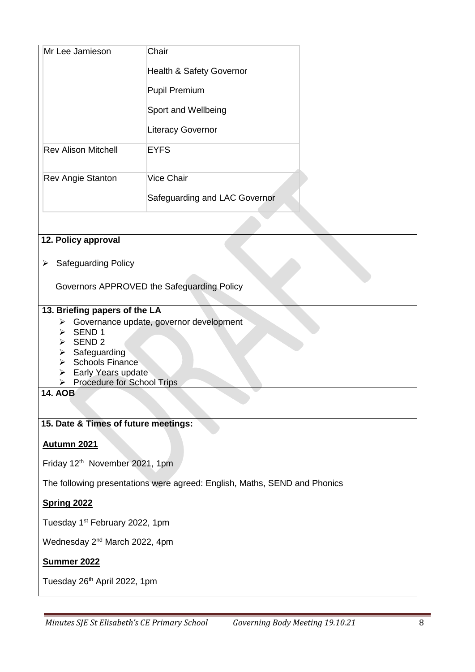| Mr Lee Jamieson            | Chair                               |  |
|----------------------------|-------------------------------------|--|
|                            | <b>Health &amp; Safety Governor</b> |  |
|                            | <b>Pupil Premium</b>                |  |
|                            | Sport and Wellbeing                 |  |
|                            | <b>Literacy Governor</b>            |  |
| <b>Rev Alison Mitchell</b> | <b>EYFS</b>                         |  |
| <b>Rev Angie Stanton</b>   | Vice Chair                          |  |
|                            | Safeguarding and LAC Governor       |  |
|                            |                                     |  |

# **12. Policy approval**

➢ Safeguarding Policy

Governors APPROVED the Safeguarding Policy

## **13. Briefing papers of the LA**

- ➢ Governance update, governor development
- ➢ SEND 1
- ➢ SEND 2
- ➢ Safeguarding
- ➢ Schools Finance
- ➢ Early Years update
- ➢ Procedure for School Trips

**14. AOB**

# **15. Date & Times of future meetings:**

### **Autumn 2021**

Friday 12th November 2021, 1pm

The following presentations were agreed: English, Maths, SEND and Phonics

# **Spring 2022**

Tuesday 1<sup>st</sup> February 2022, 1pm

Wednesday 2<sup>nd</sup> March 2022, 4pm

### **Summer 2022**

Tuesday 26<sup>th</sup> April 2022, 1pm